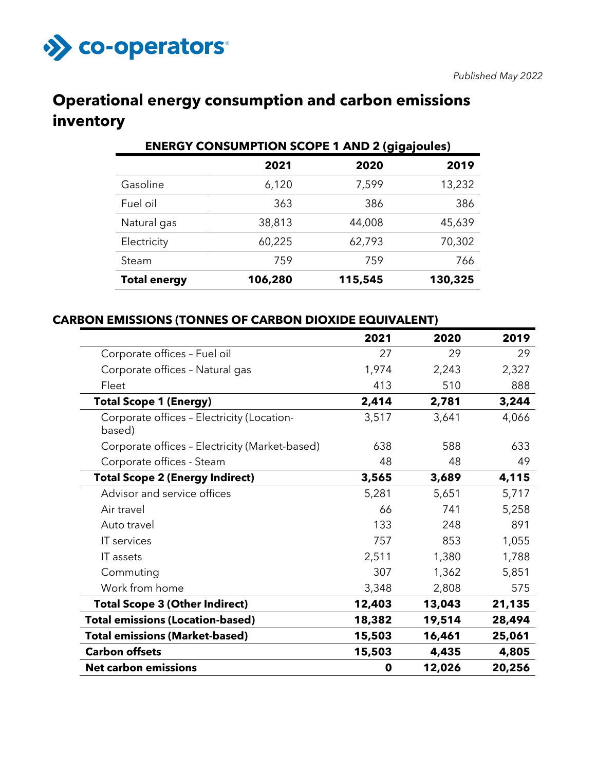

# **Operational energy consumption and carbon emissions inventory**

| <b>ENERGY CONSUMPTION SCOPE 1 AND 2 (gigajoules)</b> |         |         |         |  |  |
|------------------------------------------------------|---------|---------|---------|--|--|
|                                                      | 2021    | 2020    | 2019    |  |  |
| Gasoline                                             | 6,120   | 7,599   | 13,232  |  |  |
| Fuel oil                                             | 363     | 386     | 386     |  |  |
| Natural gas                                          | 38,813  | 44,008  | 45,639  |  |  |
| Electricity                                          | 60,225  | 62,793  | 70,302  |  |  |
| Steam                                                | 759     | 759     | 766     |  |  |
| <b>Total energy</b>                                  | 106,280 | 115,545 | 130,325 |  |  |

## **CARBON EMISSIONS (TONNES OF CARBON DIOXIDE EQUIVALENT)**

|                                                      | 2021   | 2020   | 2019   |
|------------------------------------------------------|--------|--------|--------|
| Corporate offices - Fuel oil                         | 27     | 29     | 29     |
| Corporate offices - Natural gas                      | 1,974  | 2,243  | 2,327  |
| Fleet                                                | 413    | 510    | 888    |
| <b>Total Scope 1 (Energy)</b>                        | 2,414  | 2,781  | 3,244  |
| Corporate offices - Electricity (Location-<br>based) | 3,517  | 3,641  | 4,066  |
| Corporate offices - Electricity (Market-based)       | 638    | 588    | 633    |
| Corporate offices - Steam                            | 48     | 48     | 49     |
| <b>Total Scope 2 (Energy Indirect)</b>               | 3,565  | 3,689  | 4,115  |
| Advisor and service offices                          | 5,281  | 5,651  | 5,717  |
| Air travel                                           | 66     | 741    | 5,258  |
| Auto travel                                          | 133    | 248    | 891    |
| IT services                                          | 757    | 853    | 1,055  |
| IT assets                                            | 2,511  | 1,380  | 1,788  |
| Commuting                                            | 307    | 1,362  | 5,851  |
| Work from home                                       | 3,348  | 2,808  | 575    |
| <b>Total Scope 3 (Other Indirect)</b>                | 12,403 | 13,043 | 21,135 |
| <b>Total emissions (Location-based)</b>              | 18,382 | 19,514 | 28,494 |
| <b>Total emissions (Market-based)</b>                | 15,503 | 16,461 | 25,061 |
| <b>Carbon offsets</b>                                | 15,503 | 4,435  | 4,805  |
| <b>Net carbon emissions</b>                          | 0      | 12,026 | 20,256 |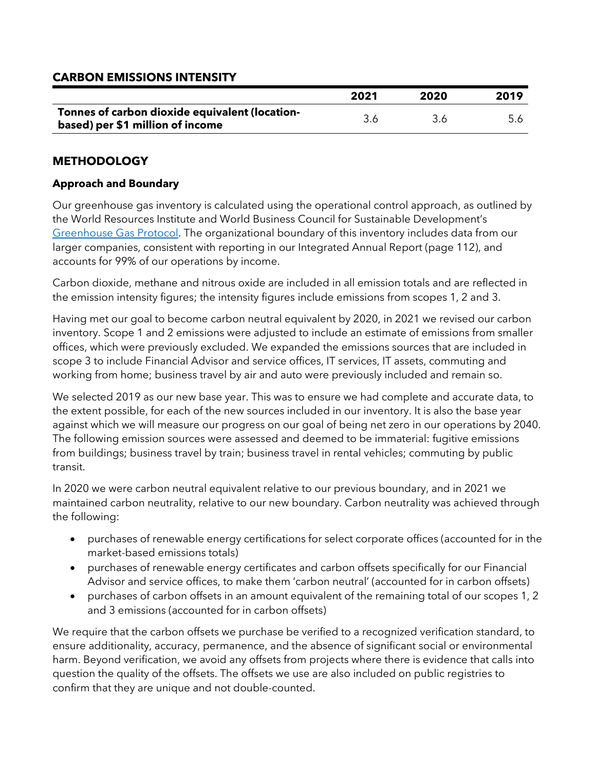# **CARBON EMISSIONS INTENSITY**

|                                                                                    | 2021 | 2020 | 2019 |
|------------------------------------------------------------------------------------|------|------|------|
| Tonnes of carbon dioxide equivalent (location-<br>based) per \$1 million of income |      |      |      |

# **METHODOLOGY**

#### **Approach and Boundary**

Our greenhouse gas inventory is calculated using the operational control approach, as outlined by the World Resources Institute and World Business Council for Sustainable Development's [Greenhouse Gas Protocol.](https://ghgprotocol.org/) The organizational boundary of this inventory includes data from our larger companies, consistent with reporting in our Integrated Annual Report (page 112), and accounts for 99% of our operations by income.

Carbon dioxide, methane and nitrous oxide are included in all emission totals and are reflected in the emission intensity figures; the intensity figures include emissions from scopes 1, 2 and 3.

Having met our goal to become carbon neutral equivalent by 2020, in 2021 we revised our carbon inventory. Scope 1 and 2 emissions were adjusted to include an estimate of emissions from smaller offices, which were previously excluded. We expanded the emissions sources that are included in scope 3 to include Financial Advisor and service offices, IT services, IT assets, commuting and working from home; business travel by air and auto were previously included and remain so.

We selected 2019 as our new base year. This was to ensure we had complete and accurate data, to the extent possible, for each of the new sources included in our inventory. It is also the base year against which we will measure our progress on our goal of being net zero in our operations by 2040. The following emission sources were assessed and deemed to be immaterial: fugitive emissions from buildings; business travel by train; business travel in rental vehicles; commuting by public transit.

In 2020 we were carbon neutral equivalent relative to our previous boundary, and in 2021 we maintained carbon neutrality, relative to our new boundary. Carbon neutrality was achieved through the following:

- purchases of renewable energy certifications for select corporate offices (accounted for in the market-based emissions totals)
- purchases of renewable energy certificates and carbon offsets specifically for our Financial Advisor and service offices, to make them 'carbon neutral' (accounted for in carbon offsets)
- purchases of carbon offsets in an amount equivalent of the remaining total of our scopes 1, 2 and 3 emissions (accounted for in carbon offsets)

We require that the carbon offsets we purchase be verified to a recognized verification standard, to ensure additionality, accuracy, permanence, and the absence of significant social or environmental harm. Beyond verification, we avoid any offsets from projects where there is evidence that calls into question the quality of the offsets. The offsets we use are also included on public registries to confirm that they are unique and not double-counted.